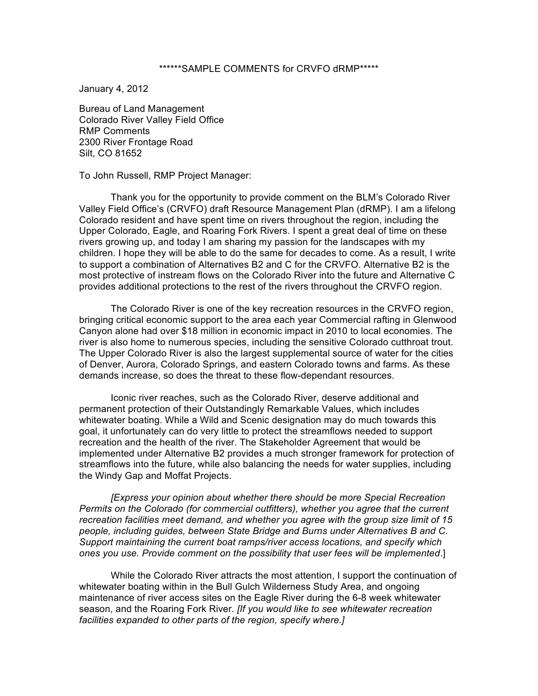## \*\*\*\*\*\*SAMPLE COMMENTS for CRVFO dRMP\*\*\*\*\*

January 4, 2012

Bureau of Land Management Colorado River Valley Field Office RMP Comments 2300 River Frontage Road Silt, CO 81652

To John Russell, RMP Project Manager:

Thank you for the opportunity to provide comment on the BLM's Colorado River Valley Field Office's (CRVFO) draft Resource Management Plan (dRMP). I am a lifelong Colorado resident and have spent time on rivers throughout the region, including the Upper Colorado, Eagle, and Roaring Fork Rivers. I spent a great deal of time on these rivers growing up, and today I am sharing my passion for the landscapes with my children. I hope they will be able to do the same for decades to come. As a result, I write to support a combination of Alternatives B2 and C for the CRVFO. Alternative B2 is the most protective of instream flows on the Colorado River into the future and Alternative C provides additional protections to the rest of the rivers throughout the CRVFO region.

The Colorado River is one of the key recreation resources in the CRVFO region, bringing critical economic support to the area each year Commercial rafting in Glenwood Canyon alone had over \$18 million in economic impact in 2010 to local economies. The river is also home to numerous species, including the sensitive Colorado cutthroat trout. The Upper Colorado River is also the largest supplemental source of water for the cities of Denver, Aurora, Colorado Springs, and eastern Colorado towns and farms. As these demands increase, so does the threat to these flow-dependant resources.

Iconic river reaches, such as the Colorado River, deserve additional and permanent protection of their Outstandingly Remarkable Values, which includes whitewater boating. While a Wild and Scenic designation may do much towards this goal, it unfortunately can do very little to protect the streamflows needed to support recreation and the health of the river. The Stakeholder Agreement that would be implemented under Alternative B2 provides a much stronger framework for protection of streamflows into the future, while also balancing the needs for water supplies, including the Windy Gap and Moffat Projects.

*[Express your opinion about whether there should be more Special Recreation Permits on the Colorado (for commercial outfitters), whether you agree that the current recreation facilities meet demand, and whether you agree with the group size limit of 15 people, including guides, between State Bridge and Burns under Alternatives B and C. Support maintaining the current boat ramps/river access locations, and specify which ones you use. Provide comment on the possibility that user fees will be implemented*.]

While the Colorado River attracts the most attention, I support the continuation of whitewater boating within in the Bull Gulch Wilderness Study Area, and ongoing maintenance of river access sites on the Eagle River during the 6-8 week whitewater season, and the Roaring Fork River. *[If you would like to see whitewater recreation facilities expanded to other parts of the region, specify where.]*